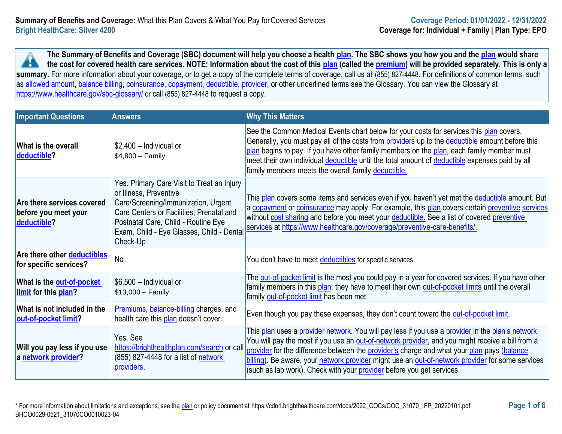**The Summary of Benefits and Coverage (SBC) document will help you choose a health [plan.](https://www.healthcare.gov/sbc-glossary/#plan) The SBC shows you how you and the [plan](https://www.healthcare.gov/sbc-glossary/#plan) would share the cost for covered health care services. NOTE: Information about the cost of this [plan](https://www.healthcare.gov/sbc-glossary/#plan) (called the [premium\)](https://www.healthcare.gov/sbc-glossary/#premium) will be provided separately. This is only a**  H. summary. For more information about your coverage, or to get a copy of the complete terms of coverage, call us at (855) 827-4448. For definitions of common terms, such as [allowed amount,](https://www.healthcare.gov/sbc-glossary/#allowed-amount) [balance billing,](https://www.healthcare.gov/sbc-glossary/#balance-billing) [coinsurance,](https://www.healthcare.gov/sbc-glossary/#coinsurance) [copayment,](https://www.healthcare.gov/sbc-glossary/#copayment) [deductible,](https://www.healthcare.gov/sbc-glossary/#deductible) [provider,](https://www.healthcare.gov/sbc-glossary/#provider) or other underlined terms see the Glossary. You can view the Glossary at <https://www.healthcare.gov/sbc-glossary/> or call (855) 827-4448 to request a copy.

| <b>Important Questions</b>                                             | <b>Answers</b>                                                                                                                                                                                                                                          | <b>Why This Matters</b>                                                                                                                                                                                                                                                                                                                                                                                                                                                          |  |
|------------------------------------------------------------------------|---------------------------------------------------------------------------------------------------------------------------------------------------------------------------------------------------------------------------------------------------------|----------------------------------------------------------------------------------------------------------------------------------------------------------------------------------------------------------------------------------------------------------------------------------------------------------------------------------------------------------------------------------------------------------------------------------------------------------------------------------|--|
| <b>What is the overall</b><br>deductible?                              | \$2,400 - Individual or<br>$$4,800 - Family$                                                                                                                                                                                                            | See the Common Medical Events chart below for your costs for services this plan covers.<br>Generally, you must pay all of the costs from providers up to the deductible amount before this<br>plan begins to pay. If you have other family members on the plan, each family member must<br>meet their own individual deductible until the total amount of deductible expenses paid by all<br>family members meets the overall family deductible.                                 |  |
| Are there services covered<br>before you meet your<br>deductible?      | Yes. Primary Care Visit to Treat an Injury<br>or Illness, Preventive<br>Care/Screening/Immunization, Urgent<br>Care Centers or Facilities, Prenatal and<br>Postnatal Care, Child - Routine Eye<br>Exam, Child - Eye Glasses, Child - Dental<br>Check-Up | This plan covers some items and services even if you haven't yet met the deductible amount. But<br>a copayment or coinsurance may apply. For example, this plan covers certain preventive services<br>without cost sharing and before you meet your deductible. See a list of covered preventive<br>services at https://www.healthcare.gov/coverage/preventive-care-benefits/.                                                                                                   |  |
| <b>Are there other deductibles</b><br>for specific services?           | <b>No</b>                                                                                                                                                                                                                                               | You don't have to meet deductibles for specific services.                                                                                                                                                                                                                                                                                                                                                                                                                        |  |
| What is the <b>out-of-pocket</b><br><b>limit</b> for this <b>plan?</b> | $$6,500$ - Individual or<br>$$13,000 - Family$                                                                                                                                                                                                          | The out-of-pocket limit is the most you could pay in a year for covered services. If you have other<br>family members in this plan, they have to meet their own out-of-pocket limits until the overall<br>family out-of-pocket limit has been met.                                                                                                                                                                                                                               |  |
| What is not included in the<br>out-of-pocket limit?                    | Premiums, balance-billing charges, and<br>health care this plan doesn't cover.                                                                                                                                                                          | Even though you pay these expenses, they don't count toward the out-of-pocket limit.                                                                                                                                                                                                                                                                                                                                                                                             |  |
| Will you pay less if you use<br>a network provider?                    | Yes. See<br>https://brighthealthplan.com/search or call<br>(855) 827-4448 for a list of network<br>providers.                                                                                                                                           | This plan uses a provider network. You will pay less if you use a provider in the plan's network.<br>You will pay the most if you use an out-of-network provider, and you might receive a bill from a<br>provider for the difference between the provider's charge and what your plan pays (balance<br>billing). Be aware, your network provider might use an out-of-network provider for some services<br>(such as lab work). Check with your provider before you get services. |  |

\* For more information about limitations and exceptions, see the [plan](https://www.healthcare.gov/sbc-glossary/#plan) or policy document at https://cdn1.brighthealthcare.com/docs/2022\_COCs/COC\_31070\_IFP\_20220101.pdf **Page 1 of 6** BHCO0029-0521\_31070CO0010023-04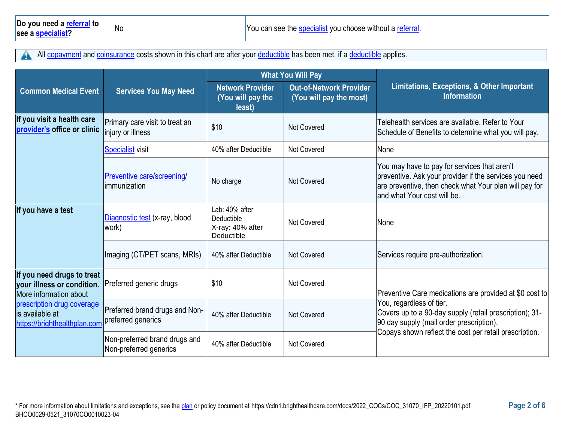All [copayment](https://www.healthcare.gov/sbc-glossary/#copayment) and [coinsurance](https://www.healthcare.gov/sbc-glossary/#coinsurance) costs shown in this chart are after your [deductible](https://www.healthcare.gov/sbc-glossary/#deductible) has been met, if a deductible applies. A

|                                                                                    |                                                         | <b>What You Will Pay</b>                                       |                                                           |                                                                                                                                                                                                  |  |
|------------------------------------------------------------------------------------|---------------------------------------------------------|----------------------------------------------------------------|-----------------------------------------------------------|--------------------------------------------------------------------------------------------------------------------------------------------------------------------------------------------------|--|
| <b>Common Medical Event</b>                                                        | <b>Services You May Need</b>                            | <b>Network Provider</b><br>(You will pay the<br>least)         | <b>Out-of-Network Provider</b><br>(You will pay the most) | Limitations, Exceptions, & Other Important<br><b>Information</b>                                                                                                                                 |  |
| If you visit a health care<br>provider's office or clinic                          | Primary care visit to treat an<br>injury or illness     | \$10                                                           | Not Covered                                               | Telehealth services are available. Refer to Your<br>Schedule of Benefits to determine what you will pay.                                                                                         |  |
|                                                                                    | Specialist visit                                        | 40% after Deductible                                           | <b>Not Covered</b>                                        | None                                                                                                                                                                                             |  |
|                                                                                    | Preventive care/screening/<br>immunization              | No charge                                                      | <b>Not Covered</b>                                        | You may have to pay for services that aren't<br>preventive. Ask your provider if the services you need<br>are preventive, then check what Your plan will pay for<br>land what Your cost will be. |  |
| If you have a test                                                                 | Diagnostic test (x-ray, blood<br>work)                  | Lab: 40% after<br>Deductible<br>X-ray: 40% after<br>Deductible | <b>Not Covered</b>                                        | <b>None</b>                                                                                                                                                                                      |  |
|                                                                                    | Imaging (CT/PET scans, MRIs)                            | 40% after Deductible                                           | <b>Not Covered</b>                                        | Services require pre-authorization.                                                                                                                                                              |  |
| If you need drugs to treat<br>your illness or condition.<br>More information about | Preferred generic drugs                                 | \$10                                                           | Not Covered                                               | Preventive Care medications are provided at \$0 cost to                                                                                                                                          |  |
| prescription drug coverage<br>lis available at<br>https://brighthealthplan.com     | Preferred brand drugs and Non-<br>preferred generics    | 40% after Deductible                                           | <b>Not Covered</b>                                        | You, regardless of tier.<br>Covers up to a 90-day supply (retail prescription); 31-<br>90 day supply (mail order prescription).                                                                  |  |
|                                                                                    | Non-preferred brand drugs and<br>Non-preferred generics | 40% after Deductible                                           | <b>Not Covered</b>                                        | Copays shown reflect the cost per retail prescription.                                                                                                                                           |  |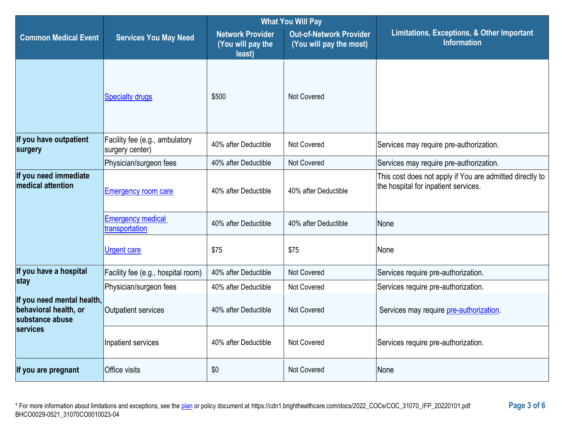|                                                                        |                                                   | <b>What You Will Pay</b>                               |                                                           |                                                                                                  |  |
|------------------------------------------------------------------------|---------------------------------------------------|--------------------------------------------------------|-----------------------------------------------------------|--------------------------------------------------------------------------------------------------|--|
| <b>Common Medical Event</b>                                            | <b>Services You May Need</b>                      | <b>Network Provider</b><br>(You will pay the<br>least) | <b>Out-of-Network Provider</b><br>(You will pay the most) | Limitations, Exceptions, & Other Important<br><b>Information</b>                                 |  |
|                                                                        | <b>Specialty drugs</b>                            | \$500                                                  | <b>Not Covered</b>                                        |                                                                                                  |  |
| If you have outpatient<br>surgery                                      | Facility fee (e.g., ambulatory<br>surgery center) | 40% after Deductible                                   | <b>Not Covered</b>                                        | Services may require pre-authorization.                                                          |  |
|                                                                        | Physician/surgeon fees                            | 40% after Deductible                                   | Not Covered                                               | Services may require pre-authorization.                                                          |  |
| If you need immediate<br>medical attention                             | <b>Emergency room care</b>                        | 40% after Deductible                                   | 40% after Deductible                                      | This cost does not apply if You are admitted directly to<br>the hospital for inpatient services. |  |
|                                                                        | <b>Emergency medical</b><br>transportation        | 40% after Deductible                                   | 40% after Deductible                                      | None                                                                                             |  |
|                                                                        | <b>Urgent care</b>                                | \$75                                                   | \$75                                                      | None                                                                                             |  |
| If you have a hospital                                                 | Facility fee (e.g., hospital room)                | 40% after Deductible                                   | <b>Not Covered</b>                                        | Services require pre-authorization.                                                              |  |
| stay                                                                   | Physician/surgeon fees                            | 40% after Deductible                                   | Not Covered                                               | Services require pre-authorization.                                                              |  |
| If you need mental health,<br>behavioral health, or<br>substance abuse | <b>Outpatient services</b>                        | 40% after Deductible                                   | <b>Not Covered</b>                                        | Services may require pre-authorization.                                                          |  |
| services                                                               | Inpatient services                                | 40% after Deductible                                   | Not Covered                                               | Services require pre-authorization.                                                              |  |
| If you are pregnant                                                    | Office visits                                     | \$0                                                    | Not Covered                                               | None                                                                                             |  |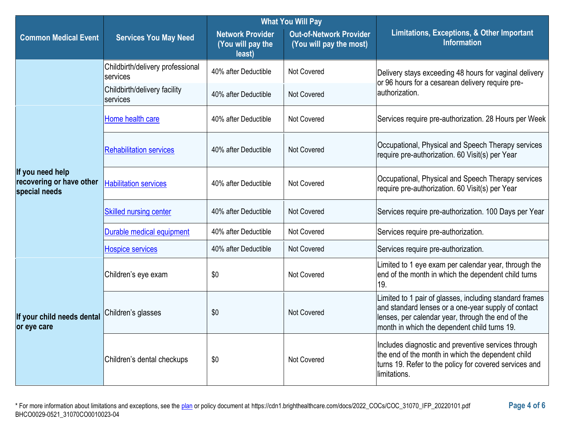| <b>What You Will Pay</b>                                      |                                              |                                                        |                                                           |                                                                                                                                                                                                                     |
|---------------------------------------------------------------|----------------------------------------------|--------------------------------------------------------|-----------------------------------------------------------|---------------------------------------------------------------------------------------------------------------------------------------------------------------------------------------------------------------------|
| <b>Common Medical Event</b>                                   | <b>Services You May Need</b>                 | <b>Network Provider</b><br>(You will pay the<br>least) | <b>Out-of-Network Provider</b><br>(You will pay the most) | <b>Limitations, Exceptions, &amp; Other Important</b><br><b>Information</b>                                                                                                                                         |
|                                                               | Childbirth/delivery professional<br>services | 40% after Deductible                                   | Not Covered                                               | Delivery stays exceeding 48 hours for vaginal delivery<br>or 96 hours for a cesarean delivery require pre-                                                                                                          |
|                                                               | Childbirth/delivery facility<br>services     | 40% after Deductible                                   | Not Covered                                               | lauthorization.                                                                                                                                                                                                     |
|                                                               | Home health care                             | 40% after Deductible                                   | Not Covered                                               | Services require pre-authorization. 28 Hours per Week                                                                                                                                                               |
|                                                               | <b>Rehabilitation services</b>               | 40% after Deductible                                   | Not Covered                                               | Occupational, Physical and Speech Therapy services<br>require pre-authorization. 60 Visit(s) per Year                                                                                                               |
| If you need help<br>recovering or have other<br>special needs | <b>Habilitation services</b>                 | 40% after Deductible                                   | Not Covered                                               | Occupational, Physical and Speech Therapy services<br>require pre-authorization. 60 Visit(s) per Year                                                                                                               |
|                                                               | <b>Skilled nursing center</b>                | 40% after Deductible                                   | Not Covered                                               | Services require pre-authorization. 100 Days per Year                                                                                                                                                               |
|                                                               | Durable medical equipment                    | 40% after Deductible                                   | Not Covered                                               | Services require pre-authorization.                                                                                                                                                                                 |
|                                                               | <b>Hospice services</b>                      | 40% after Deductible                                   | Not Covered                                               | Services require pre-authorization.                                                                                                                                                                                 |
|                                                               | Children's eye exam                          | \$0                                                    | Not Covered                                               | Limited to 1 eye exam per calendar year, through the<br>end of the month in which the dependent child turns<br>19.                                                                                                  |
| If your child needs dental<br>or eye care                     | Children's glasses                           | \$0                                                    | Not Covered                                               | Limited to 1 pair of glasses, including standard frames<br>and standard lenses or a one-year supply of contact<br>lenses, per calendar year, through the end of the<br>month in which the dependent child turns 19. |
|                                                               | Children's dental checkups                   | \$0                                                    | Not Covered                                               | Includes diagnostic and preventive services through<br>the end of the month in which the dependent child<br>turns 19. Refer to the policy for covered services and<br>limitations.                                  |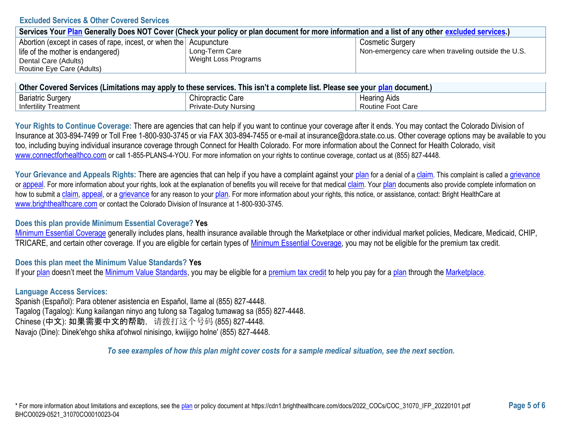### **Excluded Services & Other Covered Services**

| Services Your Plan Generally Does NOT Cover (Check your policy or plan document for more information and a list of any other excluded services.) |                      |                                                    |  |  |
|--------------------------------------------------------------------------------------------------------------------------------------------------|----------------------|----------------------------------------------------|--|--|
| Abortion (except in cases of rape, incest, or when the Acupuncture                                                                               |                      | <b>Cosmetic Surgery</b>                            |  |  |
| life of the mother is endangered)                                                                                                                | Long-Term Care       | Non-emergency care when traveling outside the U.S. |  |  |
| Dental Care (Adults)                                                                                                                             | Weight Loss Programs |                                                    |  |  |
| Routine Eye Care (Adults)                                                                                                                        |                      |                                                    |  |  |

| ∣ Other Covered Services (Limitations may apply to these services. This isn't a complete list. Please see your <u>plan</u> document.) ⊺ |                             |                     |  |
|-----------------------------------------------------------------------------------------------------------------------------------------|-----------------------------|---------------------|--|
| <b>Bariatric Surgery</b>                                                                                                                | <b>Chiropractic Care</b>    | <b>Hearing Aids</b> |  |
| <b>Infertility Treatment</b>                                                                                                            | <b>Private-Duty Nursing</b> | Routine Foot Care   |  |

Your Rights to Continue Coverage: There are agencies that can help if you want to continue your coverage after it ends. You may contact the Colorado Division of Insurance at 303-894-7499 or Toll Free 1-800-930-3745 or via FAX 303-894-7455 or e-mail at insurance@dora.state.co.us. Other coverage options may be available to you too, including buying individual insurance coverage through Connect for Health Colorado. For more information about the Connect for Health Colorado, visit [www.connectforhealthco.com](https://www.connectforhealthco.com/) or call 1-855-PLANS-4-YOU. For more information on your rights to continue coverage, contact us at (855) 827-4448.

Your Grievance and Appeals Rights: There are agencies that can help if you have a complaint against your [plan](https://www.healthcare.gov/sbc-glossary/#plan) for a denial of a [claim](https://www.healthcare.gov/sbc-glossary/#claim). This complaint is called a [grievance](https://www.healthcare.gov/sbc-glossary/#grievance) or [appeal](https://www.healthcare.gov/sbc-glossary/#appeal). For more information about your rights, look at the explanation of benefits you will receive for that medical [claim](https://www.healthcare.gov/sbc-glossary/#claim). Your [plan](https://www.healthcare.gov/sbc-glossary/#plan) documents also provide complete information on how to submit a [claim](https://www.healthcare.gov/sbc-glossary/#claim), [appeal](https://www.healthcare.gov/sbc-glossary/#appeal), or a [grievance](https://www.healthcare.gov/sbc-glossary/#grievance) for any reason to your [plan](https://www.healthcare.gov/sbc-glossary/#plan). For more information about your rights, this notice, or assistance, contact: Bright HealthCare at [www.brighthealthcare.com](https://brighthealthplan.com/) or contact the Colorado Division of Insurance at 1-800-930-3745.

## **Does this plan provide Minimum Essential Coverage? Yes**

[Minimum Essential Coverage](https://www.healthcare.gov/sbc-glossary/#minimum-essential-coverage) generally includes plans, health insurance available through the Marketplace or other individual market policies, Medicare, Medicaid, CHIP, TRICARE, and certain other coverage. If you are eligible for certain types of [Minimum Essential Coverage,](https://www.healthcare.gov/sbc-glossary/#minimum-essential-coverage) you may not be eligible for the premium tax credit.

## **Does this plan meet the Minimum Value Standards? Yes**

If you[r plan](https://www.healthcare.gov/sbc-glossary/#plan) doesn't meet the [Minimum Value Standards,](https://www.healthcare.gov/sbc-glossary/#minimum-value-standard) you may be eligible for a [premium tax credit](https://www.healthcare.gov/sbc-glossary/#premium-tax-credits) to help you pay for a [plan](https://www.healthcare.gov/sbc-glossary/#plan) through the [Marketplace.](https://www.healthcare.gov/sbc-glossary/#marketplace)

### **Language Access Services:**

Spanish (Español): Para obtener asistencia en Español, llame al (855) 827-4448. Tagalog (Tagalog): Kung kailangan ninyo ang tulong sa Tagalog tumawag sa (855) 827-4448. Chinese (中文): 如果需要中文的帮助,请拨打这个号码 (855) 827-4448. Navajo (Dine): Dinek'ehgo shika at'ohwol ninisingo, kwiijigo holne' (855) 827-4448.

*To see examples of how this plan might cover costs for a sample medical situation, see the next section.*